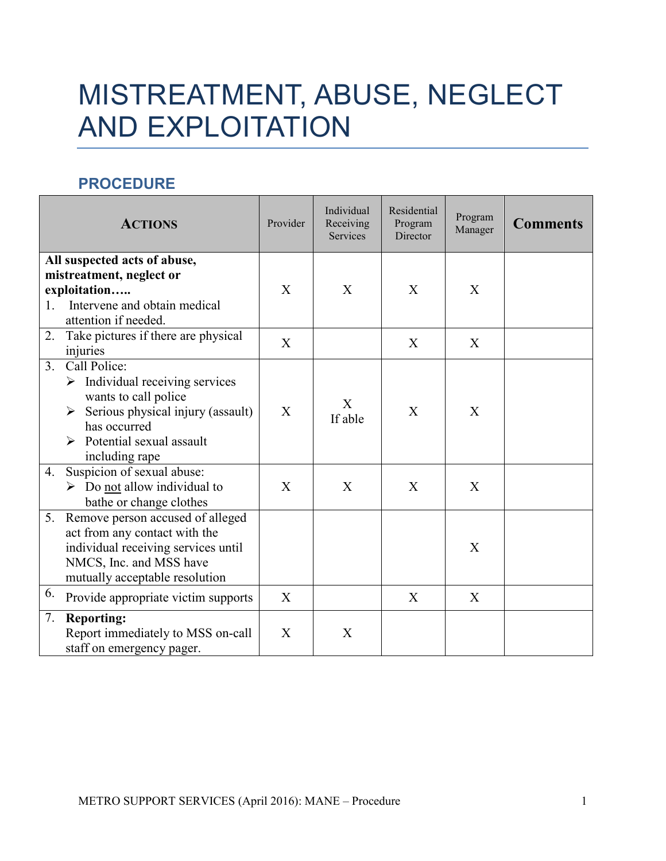## MISTREATMENT, ABUSE, NEGLECT AND EXPLOITATION

## **PROCEDURE**

|                                                          | <b>ACTIONS</b>                                                                                                                                                                                                | Provider     | Individual<br>Receiving<br><b>Services</b> | Residential<br>Program<br>Director | Program<br>Manager | <b>Comments</b> |
|----------------------------------------------------------|---------------------------------------------------------------------------------------------------------------------------------------------------------------------------------------------------------------|--------------|--------------------------------------------|------------------------------------|--------------------|-----------------|
| All suspected acts of abuse,<br>mistreatment, neglect or |                                                                                                                                                                                                               |              |                                            |                                    |                    |                 |
| exploitation                                             |                                                                                                                                                                                                               | $\mathbf{X}$ | X                                          | X                                  | X                  |                 |
| 1.                                                       | Intervene and obtain medical<br>attention if needed.                                                                                                                                                          |              |                                            |                                    |                    |                 |
| 2.                                                       | Take pictures if there are physical<br>injuries                                                                                                                                                               | X            |                                            | X                                  | X                  |                 |
|                                                          | 3. Call Police:<br>$\triangleright$ Individual receiving services<br>wants to call police<br>$\triangleright$ Serious physical injury (assault)<br>has occurred<br>Potential sexual assault<br>including rape | $\mathbf{X}$ | X<br>If able                               | X                                  | X                  |                 |
|                                                          | 4. Suspicion of sexual abuse:<br>$\triangleright$ Do not allow individual to<br>bathe or change clothes                                                                                                       | X            | X                                          | X                                  | X                  |                 |
|                                                          | 5. Remove person accused of alleged<br>act from any contact with the<br>individual receiving services until<br>NMCS, Inc. and MSS have<br>mutually acceptable resolution                                      |              |                                            |                                    | $\mathbf{X}$       |                 |
| 6.                                                       | Provide appropriate victim supports                                                                                                                                                                           | $\mathbf{X}$ |                                            | $\mathbf{X}$                       | X                  |                 |
| 7.                                                       | <b>Reporting:</b><br>Report immediately to MSS on-call<br>staff on emergency pager.                                                                                                                           | X            | X                                          |                                    |                    |                 |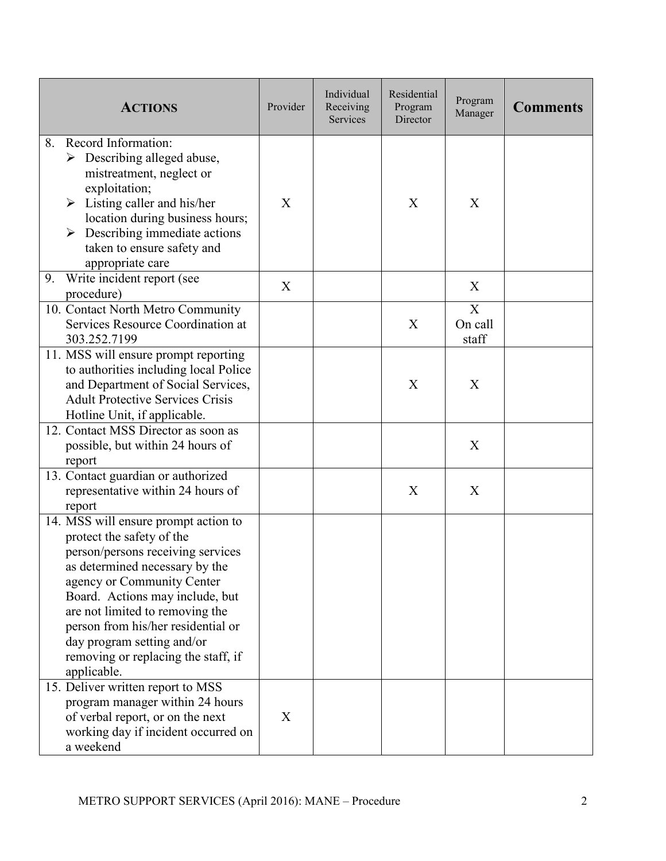| <b>ACTIONS</b>                                                                                                                                                                                                                                                                                                                                                                                              | Provider | Individual<br>Receiving<br><b>Services</b> | Residential<br>Program<br>Director | Program<br>Manager    | <b>Comments</b> |
|-------------------------------------------------------------------------------------------------------------------------------------------------------------------------------------------------------------------------------------------------------------------------------------------------------------------------------------------------------------------------------------------------------------|----------|--------------------------------------------|------------------------------------|-----------------------|-----------------|
| Record Information:<br>8.<br>Describing alleged abuse,<br>➤<br>mistreatment, neglect or<br>exploitation;<br>Listing caller and his/her<br>➤<br>location during business hours;<br>Describing immediate actions<br>➤<br>taken to ensure safety and<br>appropriate care                                                                                                                                       | X        |                                            | X                                  | X                     |                 |
| Write incident report (see<br>9.<br>procedure)                                                                                                                                                                                                                                                                                                                                                              | X        |                                            |                                    | X                     |                 |
| 10. Contact North Metro Community<br>Services Resource Coordination at<br>303.252.7199                                                                                                                                                                                                                                                                                                                      |          |                                            | X                                  | X<br>On call<br>staff |                 |
| 11. MSS will ensure prompt reporting<br>to authorities including local Police<br>and Department of Social Services,<br><b>Adult Protective Services Crisis</b><br>Hotline Unit, if applicable.                                                                                                                                                                                                              |          |                                            | X                                  | X                     |                 |
| 12. Contact MSS Director as soon as<br>possible, but within 24 hours of<br>report                                                                                                                                                                                                                                                                                                                           |          |                                            |                                    | X                     |                 |
| 13. Contact guardian or authorized<br>representative within 24 hours of<br>report                                                                                                                                                                                                                                                                                                                           |          |                                            | X                                  | X                     |                 |
| 14. MSS will ensure prompt action to<br>protect the safety of the<br>person/persons receiving services<br>as determined necessary by the<br>agency or Community Center<br>Board. Actions may include, but<br>are not limited to removing the<br>person from his/her residential or<br>day program setting and/or<br>removing or replacing the staff, if<br>applicable.<br>15. Deliver written report to MSS |          |                                            |                                    |                       |                 |
| program manager within 24 hours<br>of verbal report, or on the next<br>working day if incident occurred on<br>a weekend                                                                                                                                                                                                                                                                                     | X        |                                            |                                    |                       |                 |